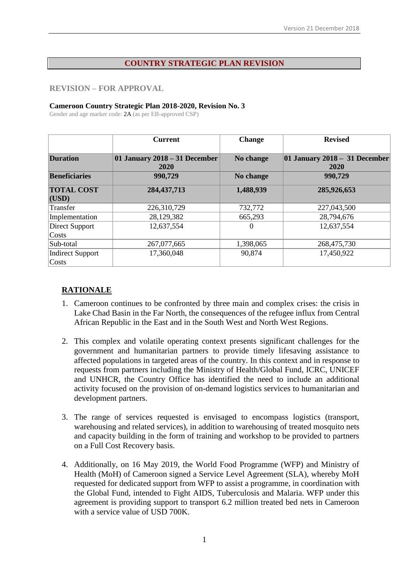#### **COUNTRY STRATEGIC PLAN REVISION**

#### **REVISION – FOR APPROVAL**

#### **Cameroon Country Strategic Plan 2018-2020, Revision No. 3**

Gender and age marker code: 2A (as per EB-approved CSP)

|                                  | <b>Current</b>                        | <b>Change</b> | <b>Revised</b>                        |
|----------------------------------|---------------------------------------|---------------|---------------------------------------|
| <b>Duration</b>                  | 01 January 2018 – 31 December<br>2020 | No change     | 01 January 2018 - 31 December<br>2020 |
| <b>Beneficiaries</b>             | 990,729                               | No change     | 990,729                               |
| <b>TOTAL COST</b><br>(USD)       | 284, 437, 713                         | 1,488,939     | 285,926,653                           |
| Transfer                         | 226,310,729                           | 732,772       | 227,043,500                           |
| Implementation                   | 28,129,382                            | 665,293       | 28,794,676                            |
| Direct Support<br>Costs          | 12,637,554                            | $\Omega$      | 12,637,554                            |
| Sub-total                        | 267,077,665                           | 1,398,065     | 268,475,730                           |
| <b>Indirect Support</b><br>Costs | 17,360,048                            | 90,874        | 17,450,922                            |

## **RATIONALE**

- 1. Cameroon continues to be confronted by three main and complex crises: the crisis in Lake Chad Basin in the Far North, the consequences of the refugee influx from Central African Republic in the East and in the South West and North West Regions.
- 2. This complex and volatile operating context presents significant challenges for the government and humanitarian partners to provide timely lifesaving assistance to affected populations in targeted areas of the country. In this context and in response to requests from partners including the Ministry of Health/Global Fund, ICRC, UNICEF and UNHCR, the Country Office has identified the need to include an additional activity focused on the provision of on-demand logistics services to humanitarian and development partners.
- 3. The range of services requested is envisaged to encompass logistics (transport, warehousing and related services), in addition to warehousing of treated mosquito nets and capacity building in the form of training and workshop to be provided to partners on a Full Cost Recovery basis.
- 4. Additionally, on 16 May 2019, the World Food Programme (WFP) and Ministry of Health (MoH) of Cameroon signed a Service Level Agreement (SLA), whereby MoH requested for dedicated support from WFP to assist a programme, in coordination with the Global Fund, intended to Fight AIDS, Tuberculosis and Malaria. WFP under this agreement is providing support to transport 6.2 million treated bed nets in Cameroon with a service value of USD 700K.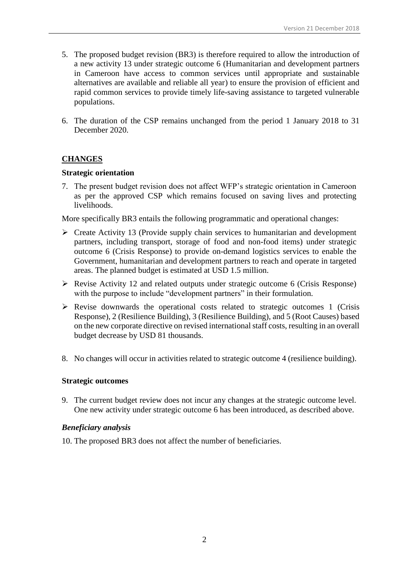- 5. The proposed budget revision (BR3) is therefore required to allow the introduction of a new activity 13 under strategic outcome 6 (Humanitarian and development partners in Cameroon have access to common services until appropriate and sustainable alternatives are available and reliable all year) to ensure the provision of efficient and rapid common services to provide timely life-saving assistance to targeted vulnerable populations.
- 6. The duration of the CSP remains unchanged from the period 1 January 2018 to 31 December 2020.

## **CHANGES**

#### **Strategic orientation**

7. The present budget revision does not affect WFP's strategic orientation in Cameroon as per the approved CSP which remains focused on saving lives and protecting livelihoods.

More specifically BR3 entails the following programmatic and operational changes:

- ➢ Create Activity 13 (Provide supply chain services to humanitarian and development partners, including transport, storage of food and non-food items) under strategic outcome 6 (Crisis Response) to provide on-demand logistics services to enable the Government, humanitarian and development partners to reach and operate in targeted areas. The planned budget is estimated at USD 1.5 million.
- ➢ Revise Activity 12 and related outputs under strategic outcome 6 (Crisis Response) with the purpose to include "development partners" in their formulation.
- ➢ Revise downwards the operational costs related to strategic outcomes 1 (Crisis Response), 2 (Resilience Building), 3 (Resilience Building), and 5 (Root Causes) based on the new corporate directive on revised international staff costs, resulting in an overall budget decrease by USD 81 thousands.
- 8. No changes will occur in activities related to strategic outcome 4 (resilience building).

#### **Strategic outcomes**

9. The current budget review does not incur any changes at the strategic outcome level. One new activity under strategic outcome 6 has been introduced, as described above.

#### *Beneficiary analysis*

10. The proposed BR3 does not affect the number of beneficiaries.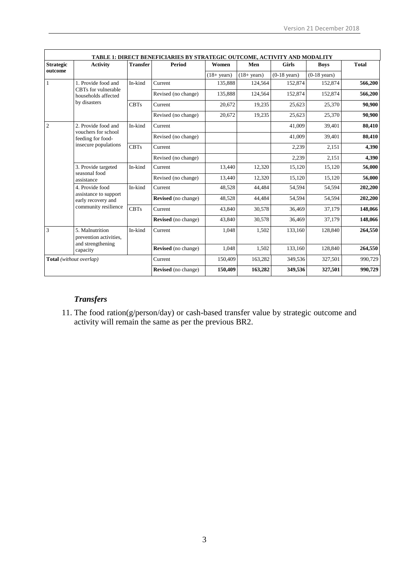|                                | TABLE 1: DIRECT BENEFICIARIES BY STRATEGIC OUTCOME, ACTIVITY AND MODALITY |                 |                            |                |                     |                |                        |              |  |
|--------------------------------|---------------------------------------------------------------------------|-----------------|----------------------------|----------------|---------------------|----------------|------------------------|--------------|--|
| <b>Strategic</b>               | <b>Activity</b>                                                           | <b>Transfer</b> | <b>Period</b>              | Women          | Men<br><b>Girls</b> |                | <b>Boys</b>            | <b>Total</b> |  |
| outcome                        |                                                                           |                 |                            | $(18 + years)$ | $(18 + years)$      | $(0-18$ years) | $(0-18 \text{ years})$ |              |  |
| $\mathbf{1}$                   | 1. Provide food and                                                       | In-kind         | Current                    | 135,888        | 124,564             | 152,874        | 152,874                | 566,200      |  |
|                                | CBTs for vulnerable<br>households affected                                |                 | Revised (no change)        | 135,888        | 124,564             | 152,874        | 152,874                | 566,200      |  |
|                                | by disasters                                                              | <b>CBTs</b>     | Current                    | 20,672         | 19,235              | 25,623         | 25,370                 | 90,900       |  |
|                                |                                                                           |                 | Revised (no change)        | 20,672         | 19,235              | 25,623         | 25,370                 | 90,900       |  |
| $\overline{2}$                 | 2. Provide food and<br>vouchers for school                                | In-kind         | Current                    |                |                     | 41,009         | 39,401                 | 80,410       |  |
|                                | feeding for food-                                                         |                 | Revised (no change)        |                |                     | 41,009         | 39,401                 | 80,410       |  |
| insecure populations           |                                                                           | <b>CBTs</b>     | Current                    |                |                     | 2,239          | 2,151                  | 4,390        |  |
|                                |                                                                           |                 | Revised (no change)        |                |                     | 2,239          | 2,151                  | 4,390        |  |
|                                | 3. Provide targeted                                                       | In-kind         | Current                    | 13,440         | 12,320              | 15,120         | 15,120                 | 56,000       |  |
|                                | seasonal food<br>assistance                                               |                 | Revised (no change)        | 13,440         | 12,320              | 15,120         | 15,120                 | 56,000       |  |
|                                | 4. Provide food                                                           | In-kind         | Current                    | 48,528         | 44,484              | 54,594         | 54,594                 | 202,200      |  |
|                                | assistance to support<br>early recovery and                               |                 | <b>Revised</b> (no change) | 48,528         | 44,484              | 54,594         | 54,594                 | 202,200      |  |
|                                | community resilience                                                      | <b>CBTs</b>     | Current                    | 43,840         | 30,578              | 36,469         | 37,179                 | 148,066      |  |
|                                |                                                                           |                 | <b>Revised</b> (no change) | 43,840         | 30,578              | 36,469         | 37,179                 | 148,066      |  |
| $\overline{3}$                 | 5. Malnutrition<br>prevention activities.                                 |                 | Current                    | 1,048          | 1,502               | 133,160        | 128,840                | 264,550      |  |
|                                | and strengthening<br>capacity                                             |                 | Revised (no change)        | 1,048          | 1,502               | 133,160        | 128,840                | 264,550      |  |
| <b>Total</b> (without overlap) |                                                                           |                 | Current                    | 150,409        | 163,282             | 349,536        | 327,501                | 990,729      |  |
|                                |                                                                           |                 | <b>Revised</b> (no change) | 150,409        | 163,282             | 349,536        | 327,501                | 990,729      |  |

## *Transfers*

11. The food ration(g/person/day) or cash-based transfer value by strategic outcome and activity will remain the same as per the previous BR2.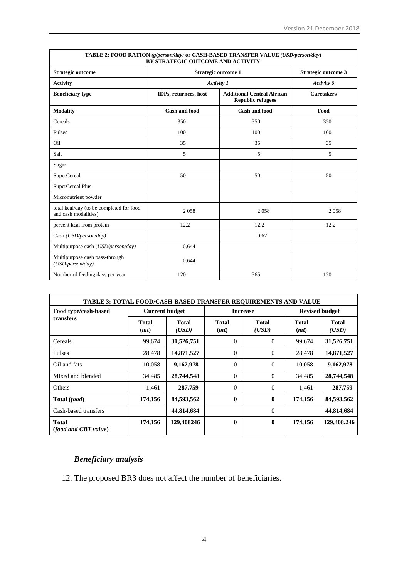| TABLE 2: FOOD RATION (g/person/day) or CASH-BASED TRANSFER VALUE (USD/person/day)<br>BY STRATEGIC OUTCOME AND ACTIVITY |                            |                                                               |                   |  |  |  |  |
|------------------------------------------------------------------------------------------------------------------------|----------------------------|---------------------------------------------------------------|-------------------|--|--|--|--|
| Strategic outcome                                                                                                      | <b>Strategic outcome 1</b> | Strategic outcome 3                                           |                   |  |  |  |  |
| <b>Activity</b>                                                                                                        | Activity 1                 | Activity 6                                                    |                   |  |  |  |  |
| <b>Beneficiary type</b>                                                                                                | IDPs, returnees, host      | <b>Additional Central African</b><br><b>Republic refugees</b> | <b>Caretakers</b> |  |  |  |  |
| <b>Modality</b>                                                                                                        | <b>Cash and food</b>       | Cash and food                                                 | Food              |  |  |  |  |
| Cereals                                                                                                                | 350                        | 350                                                           | 350               |  |  |  |  |
| Pulses                                                                                                                 | 100                        | 100                                                           | 100               |  |  |  |  |
| Oil                                                                                                                    | 35                         | 35                                                            | 35                |  |  |  |  |
| Salt                                                                                                                   | 5                          | 5                                                             | 5                 |  |  |  |  |
| Sugar                                                                                                                  |                            |                                                               |                   |  |  |  |  |
| <b>SuperCereal</b>                                                                                                     | 50                         | 50                                                            | 50                |  |  |  |  |
| SuperCereal Plus                                                                                                       |                            |                                                               |                   |  |  |  |  |
| Micronutrient powder                                                                                                   |                            |                                                               |                   |  |  |  |  |
| total kcal/day (to be completed for food<br>and cash modalities)                                                       | 2058                       | 2058                                                          | 2058              |  |  |  |  |
| percent kcal from protein                                                                                              | 12.2                       | 12.2                                                          | 12.2              |  |  |  |  |
| Cash (USD/person/day)                                                                                                  |                            | 0.62                                                          |                   |  |  |  |  |
| Multipurpose cash (USD/person/day)                                                                                     | 0.644                      |                                                               |                   |  |  |  |  |
| Multipurpose cash pass-through<br>(USD/person/day)                                                                     | 0.644                      |                                                               |                   |  |  |  |  |
| Number of feeding days per year                                                                                        | 120                        | 365                                                           | 120               |  |  |  |  |

| <b>TABLE 3: TOTAL FOOD/CASH-BASED TRANSFER REOUIREMENTS AND VALUE</b> |                       |                       |                      |                       |                      |                       |  |  |  |
|-----------------------------------------------------------------------|-----------------------|-----------------------|----------------------|-----------------------|----------------------|-----------------------|--|--|--|
| Food type/cash-based                                                  | <b>Current budget</b> |                       | <b>Increase</b>      |                       |                      | <b>Revised budget</b> |  |  |  |
| transfers                                                             | <b>Total</b><br>(mt)  | <b>Total</b><br>(USD) | <b>Total</b><br>(mt) | <b>Total</b><br>(USD) | <b>Total</b><br>(mt) | <b>Total</b><br>(USD) |  |  |  |
| Cereals                                                               | 99,674                | 31,526,751            | $\Omega$             | $\Omega$              | 99,674               | 31,526,751            |  |  |  |
| Pulses                                                                | 28,478                | 14,871,527            | $\Omega$             | 0                     | 28,478               | 14,871,527            |  |  |  |
| Oil and fats                                                          | 10,058                | 9,162,978             | $\Omega$             | $\Omega$              | 10,058               | 9,162,978             |  |  |  |
| Mixed and blended                                                     | 34,485                | 28,744,548            | $\Omega$             | $\Omega$              | 34,485               | 28,744,548            |  |  |  |
| <b>Others</b>                                                         | 1,461                 | 287,759               | $\Omega$             | $\overline{0}$        | 1,461                | 287,759               |  |  |  |
| Total (food)                                                          | 174,156               | 84,593,562            | 0                    | $\bf{0}$              | 174,156              | 84,593,562            |  |  |  |
| Cash-based transfers                                                  |                       | 44,814,684            |                      | $\Omega$              |                      | 44,814,684            |  |  |  |
| <b>Total</b><br><i>(food and CBT value)</i>                           | 174,156               | 129,408246            | 0                    | 0                     | 174,156              | 129,408,246           |  |  |  |

# *Beneficiary analysis*

12. The proposed BR3 does not affect the number of beneficiaries.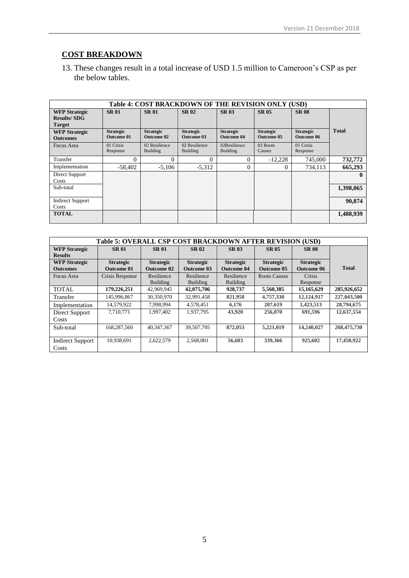## **COST BREAKDOWN**

13. These changes result in a total increase of USD 1.5 million to Cameroon's CSP as per the below tables.

| Table 4: COST BRACKDOWN OF THE REVISION ONLY (USD)          |                                       |                                  |                                       |                                       |                                       |                                       |              |
|-------------------------------------------------------------|---------------------------------------|----------------------------------|---------------------------------------|---------------------------------------|---------------------------------------|---------------------------------------|--------------|
| <b>WFP Strategic</b><br><b>Results/SDG</b><br><b>Target</b> | <b>SR01</b>                           | <b>SR01</b>                      | <b>SR02</b>                           | <b>SR03</b>                           | <b>SR 05</b>                          | <b>SR 08</b>                          |              |
| <b>WFP Strategic</b><br><b>Outcomes</b>                     | <b>Strategic</b><br><b>Outcome 01</b> | <b>Strategic</b><br>Outcome 02   | <b>Strategic</b><br><b>Outcome 03</b> | <b>Strategic</b><br><b>Outcome 04</b> | <b>Strategic</b><br><b>Outcome 05</b> | <b>Strategic</b><br><b>Outcome 06</b> | <b>Total</b> |
| Focus Area                                                  | 01 Crisis<br>Response                 | 02 Resilience<br><b>Building</b> | 02 Resilience<br>Building             | 02Resilience<br><b>Building</b>       | 03 Roots<br>Causes                    | 01 Crisis<br>Response                 |              |
| Transfer                                                    | 0                                     | 0                                | 0                                     |                                       | $-12.228$                             | 745,000                               | 732,772      |
| Implementation                                              | $-58,402$                             | $-5.106$                         | $-5,312$                              | 0                                     | $\Omega$                              | 734,113                               | 665,293      |
| Direct Support<br>Costs                                     |                                       |                                  |                                       |                                       |                                       |                                       | $\mathbf{u}$ |
| Sub-total                                                   |                                       |                                  |                                       |                                       |                                       |                                       | 1,398,065    |
| <b>Indirect Support</b><br>Costs                            |                                       |                                  |                                       |                                       |                                       |                                       | 90,874       |
| <b>TOTAL</b>                                                |                                       |                                  |                                       |                                       |                                       |                                       | 1,488,939    |

| Table 5: OVERALL CSP COST BRACKDOWN AFTER REVISION (USD) |                   |                   |                   |                   |                     |                   |              |
|----------------------------------------------------------|-------------------|-------------------|-------------------|-------------------|---------------------|-------------------|--------------|
| <b>WFP Strategic</b>                                     | <b>SR01</b>       | <b>SR01</b>       | <b>SR02</b>       | <b>SR 03</b>      | <b>SR 05</b>        | <b>SR 08</b>      |              |
| <b>Results</b><br><b>WFP Strategic</b>                   | <b>Strategic</b>  | <b>Strategic</b>  | <b>Strategic</b>  | <b>Strategic</b>  | <b>Strategic</b>    | <b>Strategic</b>  |              |
| <b>Outcomes</b>                                          | <b>Outcome 01</b> | <b>Outcome 02</b> | <b>Outcome 03</b> | <b>Outcome 04</b> | <b>Outcome 05</b>   | <b>Outcome 06</b> | <b>Total</b> |
| Focus Area                                               | Crisis Response   | Resilience        | Resilience        | Resilience        | <b>Roots Causes</b> | Crisis            |              |
|                                                          |                   | <b>Building</b>   | Building          | Building          |                     | Response          |              |
| <b>TOTAL</b>                                             | 179,226,251       | 42,969,945        | 42,075,706        | 928,737           | 5,560,385           | 15,165,629        | 285,926,652  |
| Transfer                                                 | 145,996,867       | 30.350.970        | 32,991,458        | 821,958           | 4,757,330           | 12,124,917        | 227,043,500  |
| Implementation                                           | 14,579,922        | 7.998.994         | 4.578.451         | 6,176             | 207,619             | 1,423,513         | 28,794,675   |
| Direct Support                                           | 7.710.771         | 1,997,402         | 1.937.795         | 43,920            | 256,070             | 691,596           | 12,637,554   |
| Costs                                                    |                   |                   |                   |                   |                     |                   |              |
| Sub-total                                                | 168,287,560       | 40,347,367        | 39,507,705        | 872,053           | 5,221,019           | 14,240,027        | 268,475,730  |
|                                                          |                   |                   |                   |                   |                     |                   |              |
| <b>Indirect Support</b>                                  | 10.938.691        | 2,622,579         | 2.568,001         | 56,683            | 339,366             | 925,602           | 17,450,922   |
| Costs                                                    |                   |                   |                   |                   |                     |                   |              |